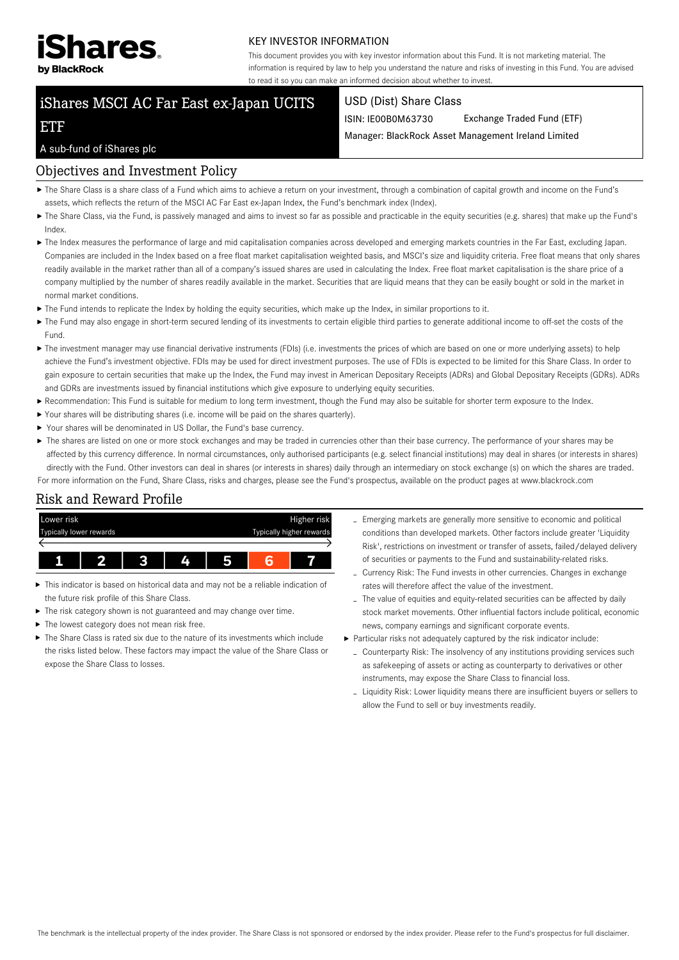

#### KEY INVESTOR INFORMATION

This document provides you with key investor information about this Fund. It is not marketing material. The information is required by law to help you understand the nature and risks of investing in this Fund. You are advised to read it so you can make an informed decision about whether to invest.

# iShares MSCI AC Far East ex-Japan UCITS

#### USD (Dist) Share Class

ISIN: IE00B0M63730 Exchange Traded Fund (ETF)

Manager: BlackRock Asset Management Ireland Limited

### A sub-fund of iShares plc

ETF

## Objectives and Investment Policy

- The Share Class is a share class of a Fund which aims to achieve a return on your investment, through a combination of capital growth and income on the Fund's assets, which reflects the return of the MSCI AC Far East ex-Japan Index, the Fund's benchmark index (Index).
- The Share Class, via the Fund, is passively managed and aims to invest so far as possible and practicable in the equity securities (e.g. shares) that make up the Fund's Index.
- The Index measures the performance of large and mid capitalisation companies across developed and emerging markets countries in the Far East, excluding Japan. Companies are included in the Index based on a free float market capitalisation weighted basis, and MSCI's size and liquidity criteria. Free float means that only shares readily available in the market rather than all of a company's issued shares are used in calculating the Index. Free float market capitalisation is the share price of a company multiplied by the number of shares readily available in the market. Securities that are liquid means that they can be easily bought or sold in the market in normal market conditions.
- The Fund intends to replicate the Index by holding the equity securities, which make up the Index, in similar proportions to it.
- ▶ The Fund may also engage in short-term secured lending of its investments to certain eligible third parties to generate additional income to off-set the costs of the Fund.
- ▶ The investment manager may use financial derivative instruments (FDIs) (i.e. investments the prices of which are based on one or more underlying assets) to help achieve the Fund's investment objective. FDIs may be used for direct investment purposes. The use of FDIs is expected to be limited for this Share Class. In order to gain exposure to certain securities that make up the Index, the Fund may invest in American Depositary Receipts (ADRs) and Global Depositary Receipts (GDRs). ADRs and GDRs are investments issued by financial institutions which give exposure to underlying equity securities.
- Recommendation: This Fund is suitable for medium to long term investment, though the Fund may also be suitable for shorter term exposure to the Index.
- Your shares will be distributing shares (i.e. income will be paid on the shares quarterly).
- Your shares will be denominated in US Dollar, the Fund's base currency.
- ▶ The shares are listed on one or more stock exchanges and may be traded in currencies other than their base currency. The performance of your shares may be affected by this currency difference. In normal circumstances, only authorised participants (e.g. select financial institutions) may deal in shares (or interests in shares) directly with the Fund. Other investors can deal in shares (or interests in shares) daily through an intermediary on stock exchange (s) on which the shares are traded.

For more information on the Fund, Share Class, risks and charges, please see the Fund's prospectus, available on the product pages at www.blackrock.com

# Risk and Reward Profile



- This indicator is based on historical data and may not be a reliable indication of the future risk profile of this Share Class.
- The risk category shown is not guaranteed and may change over time.
- The lowest category does not mean risk free.
- $\blacktriangleright$  The Share Class is rated six due to the nature of its investments which include the risks listed below. These factors may impact the value of the Share Class or expose the Share Class to losses.
- Emerging markets are generally more sensitive to economic and political conditions than developed markets. Other factors include greater 'Liquidity Risk', restrictions on investment or transfer of assets, failed/delayed delivery of securities or payments to the Fund and sustainability-related risks.
- Currency Risk: The Fund invests in other currencies. Changes in exchange rates will therefore affect the value of the investment.
- The value of equities and equity-related securities can be affected by daily stock market movements. Other influential factors include political, economic news, company earnings and significant corporate events.
- Particular risks not adequately captured by the risk indicator include:
	- Counterparty Risk: The insolvency of any institutions providing services such as safekeeping of assets or acting as counterparty to derivatives or other instruments, may expose the Share Class to financial loss.
	- Liquidity Risk: Lower liquidity means there are insufficient buyers or sellers to allow the Fund to sell or buy investments readily.